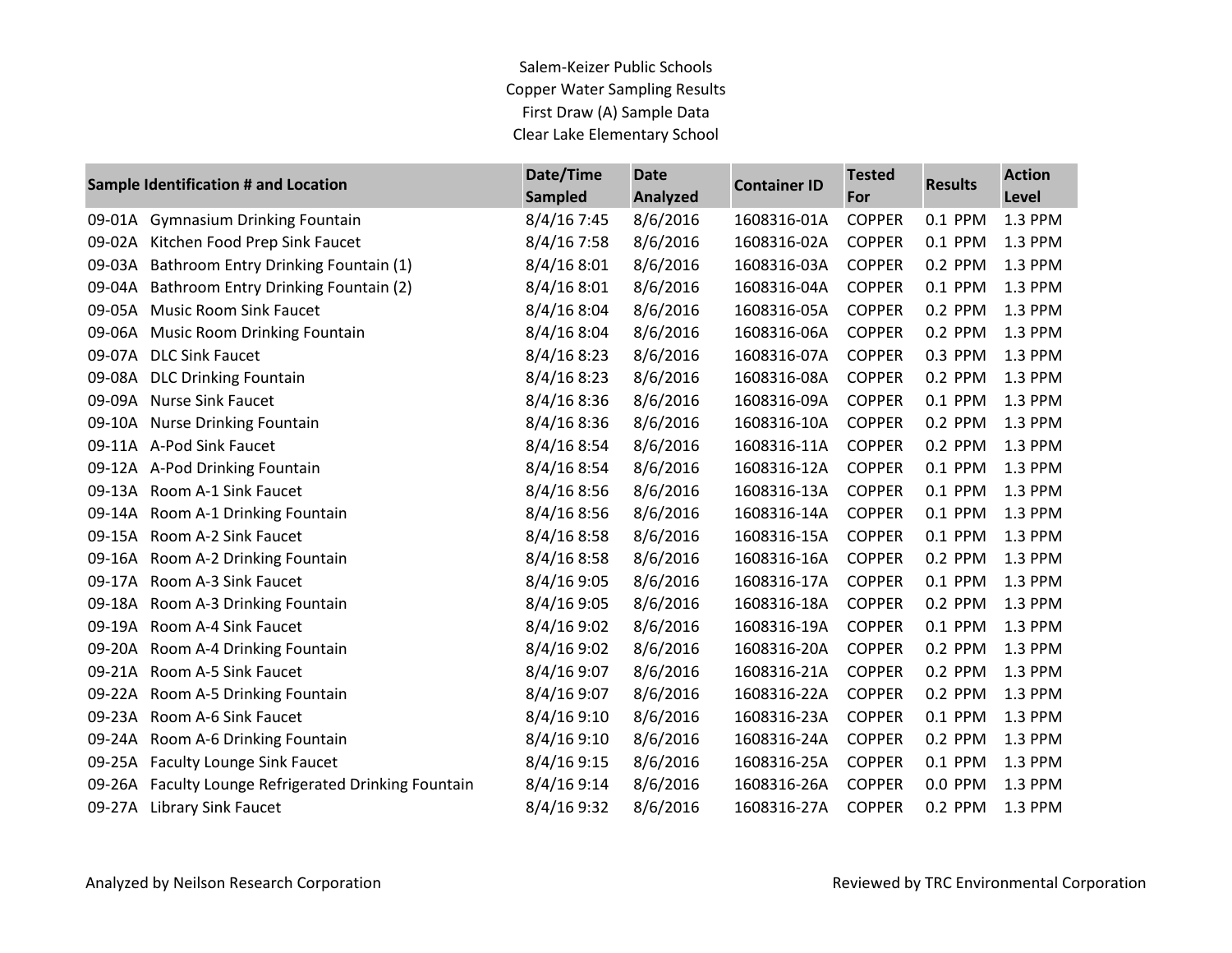Salem-Keizer Public Schools Copper Water Sampling Results First Draw (A) Sample Data Clear Lake Elementary School

|        | Sample Identification # and Location          | Date/Time<br><b>Sampled</b> | <b>Date</b><br><b>Analyzed</b> | <b>Container ID</b> | <b>Tested</b><br>For | <b>Results</b> | <b>Action</b><br><b>Level</b> |
|--------|-----------------------------------------------|-----------------------------|--------------------------------|---------------------|----------------------|----------------|-------------------------------|
| 09-01A | <b>Gymnasium Drinking Fountain</b>            | 8/4/16 7:45                 | 8/6/2016                       | 1608316-01A         | <b>COPPER</b>        | 0.1 PPM        | 1.3 PPM                       |
| 09-02A | Kitchen Food Prep Sink Faucet                 | $8/4/16$ 7:58               | 8/6/2016                       | 1608316-02A         | <b>COPPER</b>        | 0.1 PPM        | 1.3 PPM                       |
| 09-03A | Bathroom Entry Drinking Fountain (1)          | 8/4/168:01                  | 8/6/2016                       | 1608316-03A         | <b>COPPER</b>        | 0.2 PPM        | 1.3 PPM                       |
| 09-04A | Bathroom Entry Drinking Fountain (2)          | 8/4/168:01                  | 8/6/2016                       | 1608316-04A         | <b>COPPER</b>        | 0.1 PPM        | 1.3 PPM                       |
| 09-05A | <b>Music Room Sink Faucet</b>                 | 8/4/168:04                  | 8/6/2016                       | 1608316-05A         | <b>COPPER</b>        | 0.2 PPM        | 1.3 PPM                       |
| 09-06A | <b>Music Room Drinking Fountain</b>           | 8/4/16 8:04                 | 8/6/2016                       | 1608316-06A         | <b>COPPER</b>        | 0.2 PPM        | 1.3 PPM                       |
| 09-07A | <b>DLC Sink Faucet</b>                        | 8/4/168:23                  | 8/6/2016                       | 1608316-07A         | <b>COPPER</b>        | 0.3 PPM        | 1.3 PPM                       |
| 09-08A | <b>DLC Drinking Fountain</b>                  | 8/4/168:23                  | 8/6/2016                       | 1608316-08A         | <b>COPPER</b>        | 0.2 PPM        | 1.3 PPM                       |
| 09-09A | <b>Nurse Sink Faucet</b>                      | 8/4/16 8:36                 | 8/6/2016                       | 1608316-09A         | <b>COPPER</b>        | 0.1 PPM        | 1.3 PPM                       |
| 09-10A | <b>Nurse Drinking Fountain</b>                | 8/4/168:36                  | 8/6/2016                       | 1608316-10A         | <b>COPPER</b>        | 0.2 PPM        | 1.3 PPM                       |
| 09-11A | A-Pod Sink Faucet                             | 8/4/16 8:54                 | 8/6/2016                       | 1608316-11A         | <b>COPPER</b>        | 0.2 PPM        | 1.3 PPM                       |
|        | 09-12A A-Pod Drinking Fountain                | 8/4/168:54                  | 8/6/2016                       | 1608316-12A         | <b>COPPER</b>        | 0.1 PPM        | 1.3 PPM                       |
| 09-13A | Room A-1 Sink Faucet                          | 8/4/168:56                  | 8/6/2016                       | 1608316-13A         | <b>COPPER</b>        | 0.1 PPM        | 1.3 PPM                       |
| 09-14A | Room A-1 Drinking Fountain                    | 8/4/16 8:56                 | 8/6/2016                       | 1608316-14A         | <b>COPPER</b>        | 0.1 PPM        | 1.3 PPM                       |
| 09-15A | Room A-2 Sink Faucet                          | 8/4/168:58                  | 8/6/2016                       | 1608316-15A         | <b>COPPER</b>        | 0.1 PPM        | 1.3 PPM                       |
| 09-16A | Room A-2 Drinking Fountain                    | 8/4/168:58                  | 8/6/2016                       | 1608316-16A         | <b>COPPER</b>        | 0.2 PPM        | 1.3 PPM                       |
| 09-17A | Room A-3 Sink Faucet                          | 8/4/16 9:05                 | 8/6/2016                       | 1608316-17A         | <b>COPPER</b>        | 0.1 PPM        | 1.3 PPM                       |
| 09-18A | Room A-3 Drinking Fountain                    | 8/4/16 9:05                 | 8/6/2016                       | 1608316-18A         | <b>COPPER</b>        | 0.2 PPM        | 1.3 PPM                       |
| 09-19A | Room A-4 Sink Faucet                          | 8/4/16 9:02                 | 8/6/2016                       | 1608316-19A         | <b>COPPER</b>        | 0.1 PPM        | 1.3 PPM                       |
| 09-20A | Room A-4 Drinking Fountain                    | 8/4/169:02                  | 8/6/2016                       | 1608316-20A         | <b>COPPER</b>        | 0.2 PPM        | 1.3 PPM                       |
| 09-21A | Room A-5 Sink Faucet                          | 8/4/16 9:07                 | 8/6/2016                       | 1608316-21A         | <b>COPPER</b>        | 0.2 PPM        | 1.3 PPM                       |
| 09-22A | Room A-5 Drinking Fountain                    | 8/4/16 9:07                 | 8/6/2016                       | 1608316-22A         | <b>COPPER</b>        | 0.2 PPM        | 1.3 PPM                       |
| 09-23A | Room A-6 Sink Faucet                          | 8/4/169:10                  | 8/6/2016                       | 1608316-23A         | <b>COPPER</b>        | 0.1 PPM        | 1.3 PPM                       |
| 09-24A | Room A-6 Drinking Fountain                    | 8/4/169:10                  | 8/6/2016                       | 1608316-24A         | <b>COPPER</b>        | 0.2 PPM        | 1.3 PPM                       |
| 09-25A | <b>Faculty Lounge Sink Faucet</b>             | 8/4/169:15                  | 8/6/2016                       | 1608316-25A         | <b>COPPER</b>        | 0.1 PPM        | 1.3 PPM                       |
| 09-26A | Faculty Lounge Refrigerated Drinking Fountain | 8/4/16 9:14                 | 8/6/2016                       | 1608316-26A         | <b>COPPER</b>        | 0.0 PPM        | 1.3 PPM                       |
| 09-27A | <b>Library Sink Faucet</b>                    | 8/4/16 9:32                 | 8/6/2016                       | 1608316-27A         | <b>COPPER</b>        | 0.2 PPM        | 1.3 PPM                       |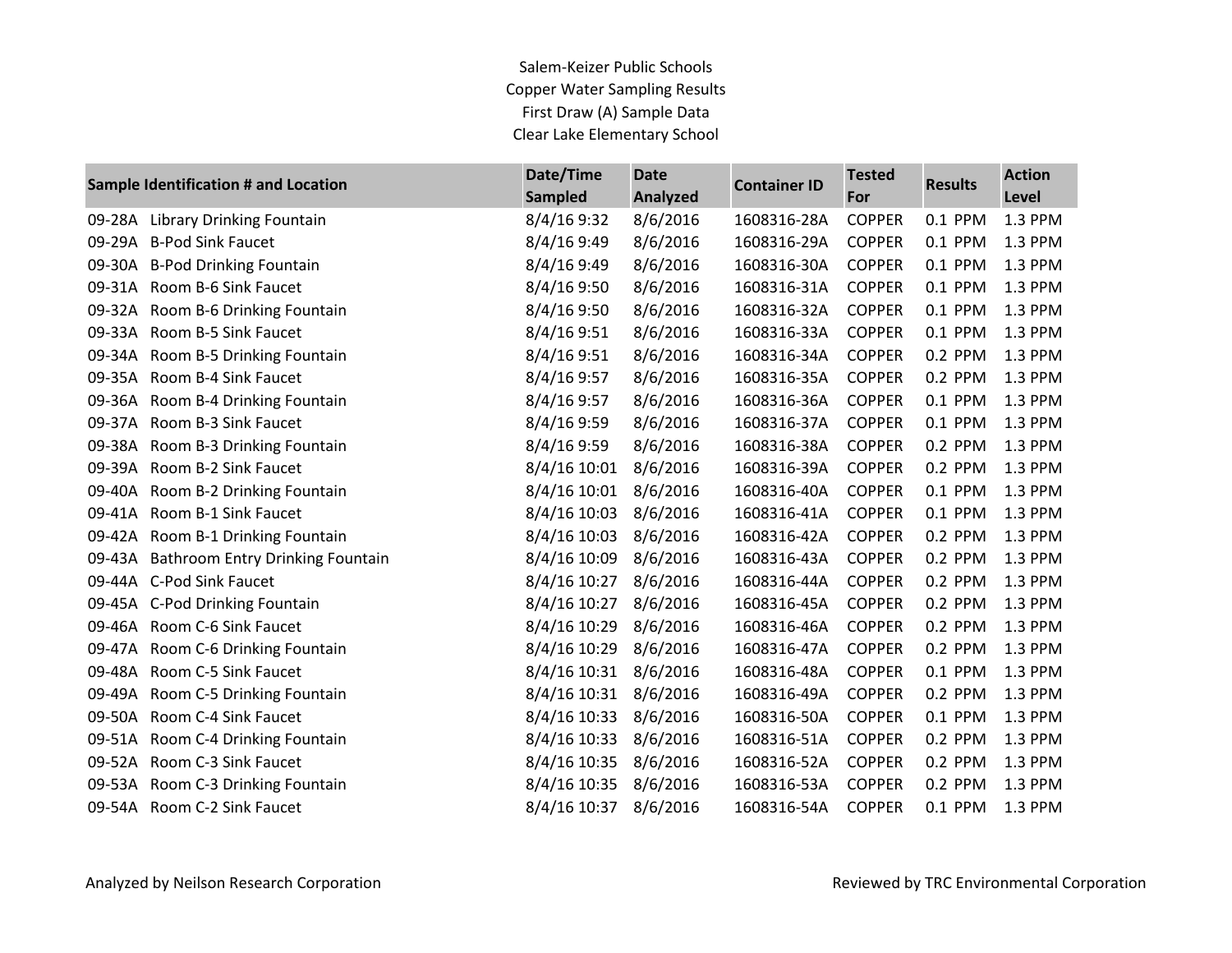Salem-Keizer Public Schools Copper Water Sampling Results First Draw (A) Sample Data Clear Lake Elementary School

| Sample Identification # and Location |                                         | Date/Time      | <b>Date</b>     | <b>Container ID</b> | <b>Tested</b><br>For | <b>Results</b> | <b>Action</b> |
|--------------------------------------|-----------------------------------------|----------------|-----------------|---------------------|----------------------|----------------|---------------|
|                                      |                                         | <b>Sampled</b> | <b>Analyzed</b> |                     |                      |                | Level         |
| 09-28A                               | Library Drinking Fountain               | 8/4/16 9:32    | 8/6/2016        | 1608316-28A         | <b>COPPER</b>        | 0.1 PPM        | 1.3 PPM       |
|                                      | 09-29A B-Pod Sink Faucet                | 8/4/16 9:49    | 8/6/2016        | 1608316-29A         | <b>COPPER</b>        | 0.1 PPM        | 1.3 PPM       |
|                                      | 09-30A B-Pod Drinking Fountain          | 8/4/16 9:49    | 8/6/2016        | 1608316-30A         | <b>COPPER</b>        | 0.1 PPM        | 1.3 PPM       |
| 09-31A                               | Room B-6 Sink Faucet                    | 8/4/169:50     | 8/6/2016        | 1608316-31A         | <b>COPPER</b>        | 0.1 PPM        | 1.3 PPM       |
|                                      | 09-32A Room B-6 Drinking Fountain       | 8/4/16 9:50    | 8/6/2016        | 1608316-32A         | <b>COPPER</b>        | 0.1 PPM        | 1.3 PPM       |
| 09-33A                               | Room B-5 Sink Faucet                    | 8/4/16 9:51    | 8/6/2016        | 1608316-33A         | <b>COPPER</b>        | 0.1 PPM        | 1.3 PPM       |
| 09-34A                               | Room B-5 Drinking Fountain              | 8/4/16 9:51    | 8/6/2016        | 1608316-34A         | <b>COPPER</b>        | 0.2 PPM        | 1.3 PPM       |
|                                      | 09-35A Room B-4 Sink Faucet             | 8/4/16 9:57    | 8/6/2016        | 1608316-35A         | <b>COPPER</b>        | 0.2 PPM        | 1.3 PPM       |
|                                      | 09-36A Room B-4 Drinking Fountain       | 8/4/16 9:57    | 8/6/2016        | 1608316-36A         | <b>COPPER</b>        | 0.1 PPM        | 1.3 PPM       |
|                                      | 09-37A Room B-3 Sink Faucet             | 8/4/16 9:59    | 8/6/2016        | 1608316-37A         | <b>COPPER</b>        | 0.1 PPM        | 1.3 PPM       |
|                                      | 09-38A Room B-3 Drinking Fountain       | 8/4/16 9:59    | 8/6/2016        | 1608316-38A         | <b>COPPER</b>        | 0.2 PPM        | 1.3 PPM       |
| 09-39A                               | Room B-2 Sink Faucet                    | 8/4/16 10:01   | 8/6/2016        | 1608316-39A         | <b>COPPER</b>        | 0.2 PPM        | 1.3 PPM       |
| 09-40A                               | Room B-2 Drinking Fountain              | 8/4/16 10:01   | 8/6/2016        | 1608316-40A         | <b>COPPER</b>        | 0.1 PPM        | 1.3 PPM       |
| 09-41A                               | Room B-1 Sink Faucet                    | 8/4/16 10:03   | 8/6/2016        | 1608316-41A         | <b>COPPER</b>        | 0.1 PPM        | 1.3 PPM       |
|                                      | 09-42A Room B-1 Drinking Fountain       | 8/4/16 10:03   | 8/6/2016        | 1608316-42A         | <b>COPPER</b>        | 0.2 PPM        | 1.3 PPM       |
|                                      | 09-43A Bathroom Entry Drinking Fountain | 8/4/16 10:09   | 8/6/2016        | 1608316-43A         | <b>COPPER</b>        | 0.2 PPM        | 1.3 PPM       |
|                                      | 09-44A C-Pod Sink Faucet                | 8/4/16 10:27   | 8/6/2016        | 1608316-44A         | <b>COPPER</b>        | 0.2 PPM        | 1.3 PPM       |
|                                      | 09-45A C-Pod Drinking Fountain          | 8/4/16 10:27   | 8/6/2016        | 1608316-45A         | <b>COPPER</b>        | 0.2 PPM        | 1.3 PPM       |
|                                      | 09-46A Room C-6 Sink Faucet             | 8/4/16 10:29   | 8/6/2016        | 1608316-46A         | <b>COPPER</b>        | 0.2 PPM        | 1.3 PPM       |
| 09-47A                               | Room C-6 Drinking Fountain              | 8/4/16 10:29   | 8/6/2016        | 1608316-47A         | <b>COPPER</b>        | 0.2 PPM        | 1.3 PPM       |
| 09-48A                               | Room C-5 Sink Faucet                    | 8/4/16 10:31   | 8/6/2016        | 1608316-48A         | <b>COPPER</b>        | 0.1 PPM        | 1.3 PPM       |
| 09-49A                               | Room C-5 Drinking Fountain              | 8/4/16 10:31   | 8/6/2016        | 1608316-49A         | <b>COPPER</b>        | 0.2 PPM        | 1.3 PPM       |
| 09-50A                               | Room C-4 Sink Faucet                    | 8/4/16 10:33   | 8/6/2016        | 1608316-50A         | <b>COPPER</b>        | 0.1 PPM        | 1.3 PPM       |
| 09-51A                               | Room C-4 Drinking Fountain              | 8/4/16 10:33   | 8/6/2016        | 1608316-51A         | <b>COPPER</b>        | 0.2 PPM        | 1.3 PPM       |
| 09-52A                               | Room C-3 Sink Faucet                    | 8/4/16 10:35   | 8/6/2016        | 1608316-52A         | <b>COPPER</b>        | 0.2 PPM        | 1.3 PPM       |
|                                      | 09-53A Room C-3 Drinking Fountain       | 8/4/16 10:35   | 8/6/2016        | 1608316-53A         | <b>COPPER</b>        | 0.2 PPM        | 1.3 PPM       |
|                                      | 09-54A Room C-2 Sink Faucet             | 8/4/16 10:37   | 8/6/2016        | 1608316-54A         | <b>COPPER</b>        | 0.1 PPM        | 1.3 PPM       |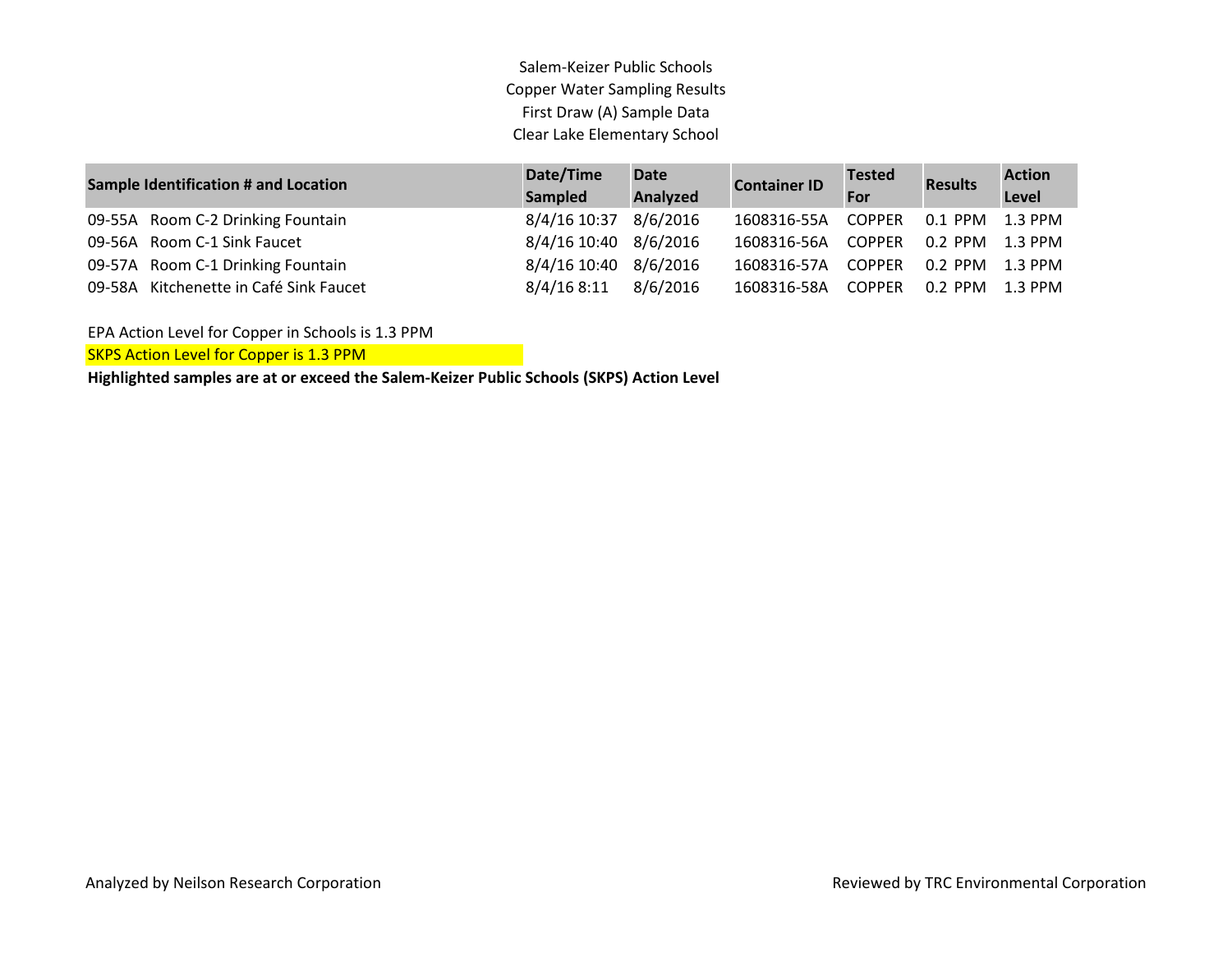Salem-Keizer Public Schools Copper Water Sampling Results First Draw (A) Sample Data Clear Lake Elementary School

| <b>Sample Identification # and Location</b> |                                        | Date/Time<br><b>Sampled</b> | <b>Date</b><br>Analyzed | <b>Container ID</b>                | <b>Tested</b><br>For   | <b>Results</b> | <b>Action</b><br>Level |
|---------------------------------------------|----------------------------------------|-----------------------------|-------------------------|------------------------------------|------------------------|----------------|------------------------|
|                                             | 09-55A Room C-2 Drinking Fountain      | 8/4/16 10:37                | 8/6/2016                | 1608316-55A                        | COPPER                 |                |                        |
|                                             | 09-56A Room C-1 Sink Faucet            | 8/4/16 10:40 8/6/2016       |                         | 1608316-56A COPPER 0.2 PPM 1.3 PPM |                        |                |                        |
|                                             | 09-57A Room C-1 Drinking Fountain      | 8/4/16 10:40 8/6/2016       |                         | 1608316-57A                        | COPPER 0.2 PPM 1.3 PPM |                |                        |
|                                             | 09-58A Kitchenette in Café Sink Faucet | 8/4/168:11                  | 8/6/2016                | 1608316-58A                        | COPPER 0.2 PPM 1.3 PPM |                |                        |

EPA Action Level for Copper in Schools is 1.3 PPM

SKPS Action Level for Copper is 1.3 PPM

**Highlighted samples are at or exceed the Salem-Keizer Public Schools (SKPS) Action Level**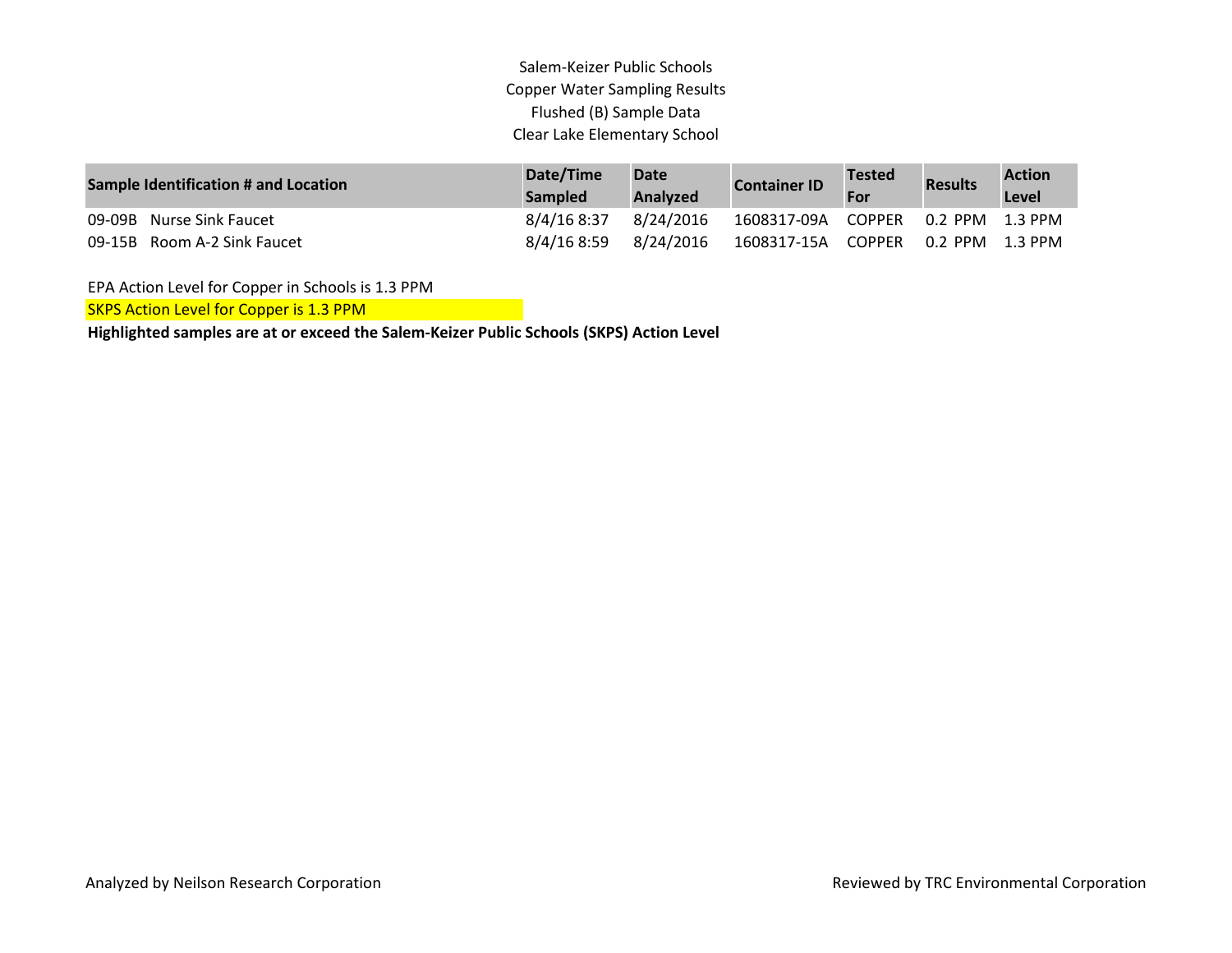## Salem-Keizer Public Schools Copper Water Sampling Results Flushed (B) Sample Data Clear Lake Elementary School

| <b>Sample Identification # and Location</b> | Date/Time<br><b>Sampled</b> | <b>Date</b><br><b>Analyzed</b> | <b>Container ID</b> | <b>Tested</b><br>For | <b>Results</b>       | <b>Action</b><br>Level |
|---------------------------------------------|-----------------------------|--------------------------------|---------------------|----------------------|----------------------|------------------------|
| 09-09B Nurse Sink Faucet                    | 8/4/16 8:37                 | 8/24/2016                      | 1608317-09A COPPER  |                      | $0.2$ PPM $1.3$ PPM  |                        |
| 09-15B Room A-2 Sink Faucet                 | 8/4/168:59                  | 8/24/2016                      | 1608317-15A         | COPPER               | $0.2$ PPM $-1.3$ PPM |                        |

EPA Action Level for Copper in Schools is 1.3 PPM

SKPS Action Level for Copper is 1.3 PPM

**Highlighted samples are at or exceed the Salem-Keizer Public Schools (SKPS) Action Level**